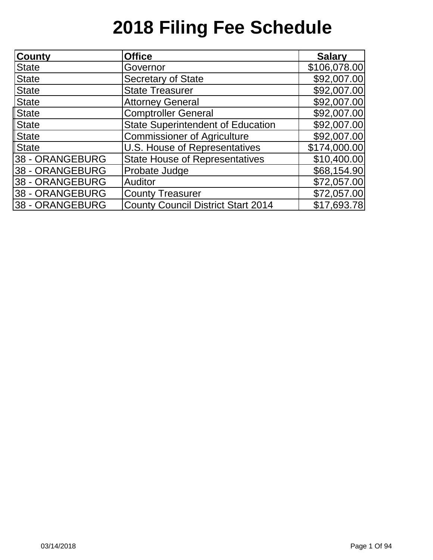| County          | <b>Office</b>                             | <b>Salary</b> |
|-----------------|-------------------------------------------|---------------|
| <b>State</b>    | Governor                                  | \$106,078.00  |
| <b>State</b>    | <b>Secretary of State</b>                 | \$92,007.00   |
| <b>State</b>    | <b>State Treasurer</b>                    | \$92,007.00   |
| <b>State</b>    | <b>Attorney General</b>                   | \$92,007.00   |
| <b>State</b>    | <b>Comptroller General</b>                | \$92,007.00   |
| <b>State</b>    | <b>State Superintendent of Education</b>  | \$92,007.00   |
| <b>State</b>    | <b>Commissioner of Agriculture</b>        | \$92,007.00   |
| <b>State</b>    | U.S. House of Representatives             | \$174,000.00  |
| 38 - ORANGEBURG | <b>State House of Representatives</b>     | \$10,400.00   |
| 38 - ORANGEBURG | Probate Judge                             | \$68,154.90   |
| 38 - ORANGEBURG | Auditor                                   | \$72,057.00   |
| 38 - ORANGEBURG | <b>County Treasurer</b>                   | \$72,057.00   |
| 38 - ORANGEBURG | <b>County Council District Start 2014</b> | \$17,693.78   |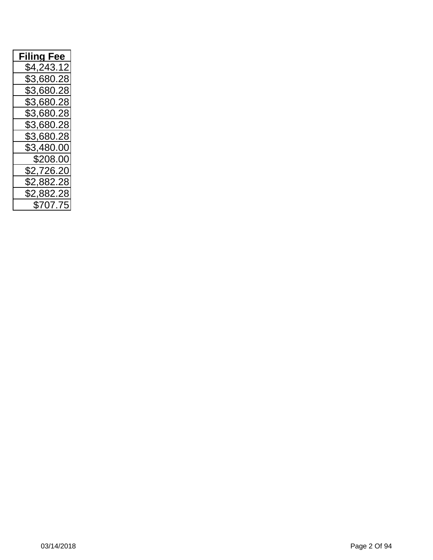| <b>Filing Fee</b> |
|-------------------|
| \$4,243.12        |
| \$3,680.28        |
| \$3,680.28        |
| \$3,680.28        |
| \$3,680.28        |
| \$3,680.28        |
| \$3,680.28        |
| \$3,480.00        |
| \$208.00          |
| \$2,726.20        |
| \$2,882.28        |
| \$2,882.28        |
| \$707.75          |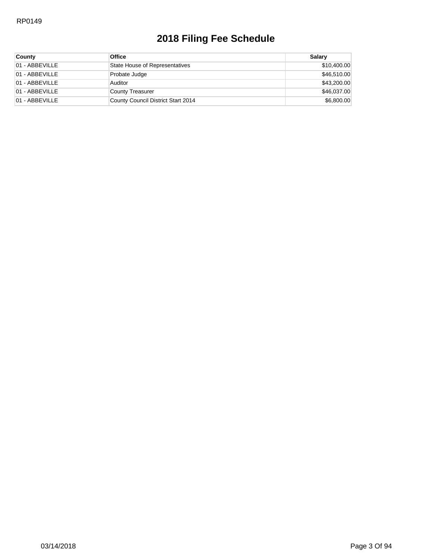| <b>County</b>  | <b>Office</b>                      | Salarv      |
|----------------|------------------------------------|-------------|
| 01 - ABBEVILLE | State House of Representatives     | \$10,400.00 |
| 01 - ABBEVILLE | Probate Judge                      | \$46,510.00 |
| 01 - ABBEVILLE | Auditor                            | \$43,200.00 |
| 01 - ABBEVILLE | County Treasurer                   | \$46,037.00 |
| 01 - ABBEVILLE | County Council District Start 2014 | \$6,800.00  |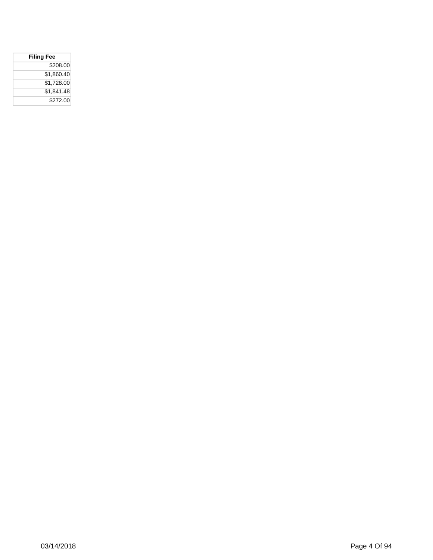| <b>Filing Fee</b> |  |
|-------------------|--|
| \$208.00          |  |
| \$1,860.40        |  |
| \$1,728.00        |  |
| \$1,841.48        |  |
| \$272.00          |  |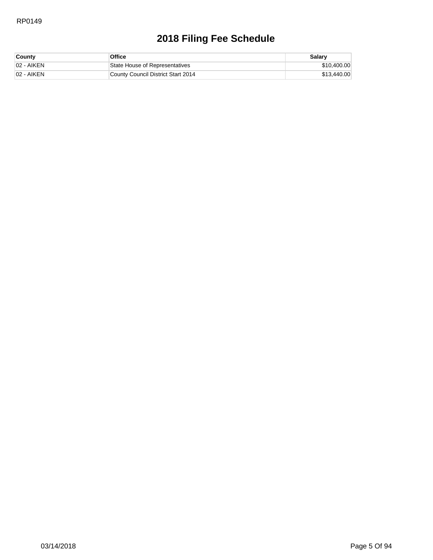| <b>County</b> | Office                             | Salary      |
|---------------|------------------------------------|-------------|
| 102 - AIKEN   | State House of Representatives     | \$10,400.00 |
| 102 - AIKEN   | County Council District Start 2014 | \$13,440.00 |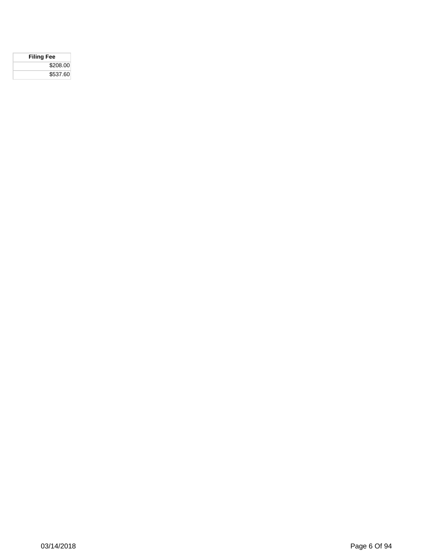| <b>Filing Fee</b> |  |
|-------------------|--|
| \$208.00          |  |
| \$537.60          |  |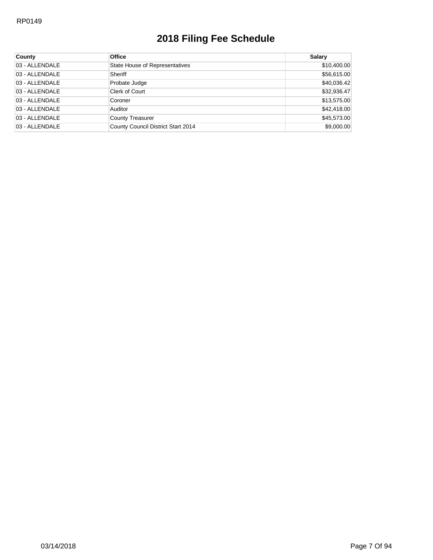| County         | <b>Office</b>                      | <b>Salary</b> |
|----------------|------------------------------------|---------------|
| 03 - ALLENDALE | State House of Representatives     | \$10,400.00   |
| 03 - ALLENDALE | Sheriff                            | \$56,615.00   |
| 03 - ALLENDALE | Probate Judge                      | \$40,036.42   |
| 03 - ALLENDALE | Clerk of Court                     | \$32,936.47   |
| 03 - ALLENDALE | Coroner                            | \$13,575.00   |
| 03 - ALLENDALE | Auditor                            | \$42,418.00   |
| 03 - ALLENDALE | County Treasurer                   | \$45,573.00   |
| 03 - ALLENDALE | County Council District Start 2014 | \$9,000.00    |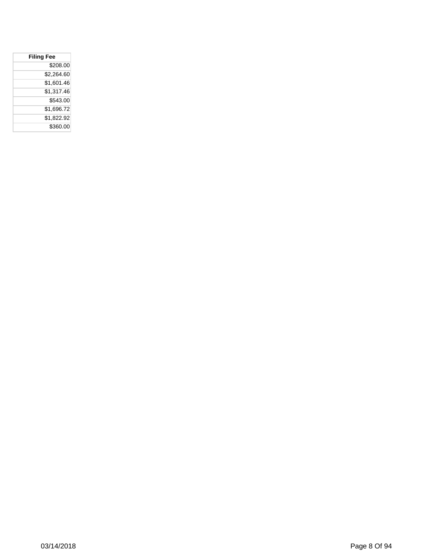| <b>Filing Fee</b> |
|-------------------|
| \$208.00          |
| \$2,264.60        |
| \$1,601.46        |
| \$1,317.46        |
| \$543.00          |
| \$1,696.72        |
| \$1,822.92        |
| \$360.00          |
|                   |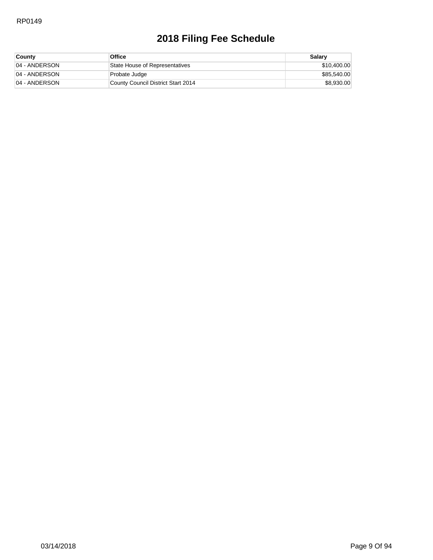| <b>County</b> | Office                             | Salary      |
|---------------|------------------------------------|-------------|
| 04 - ANDERSON | State House of Representatives     | \$10,400.00 |
| 04 - ANDERSON | Probate Judge                      | \$85,540.00 |
| 04 - ANDERSON | County Council District Start 2014 | \$8,930.00  |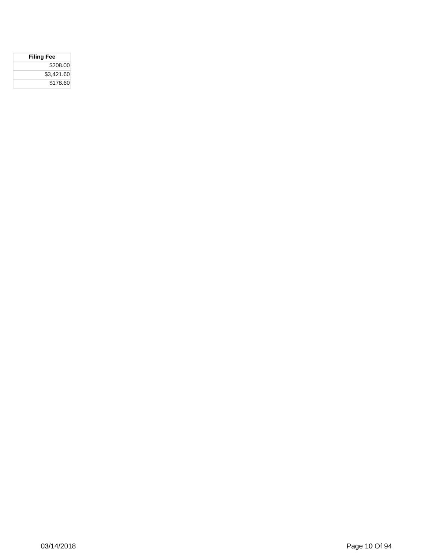| <b>Filing Fee</b> |
|-------------------|
| \$208.00          |
| \$3.421.60        |
| \$178.60          |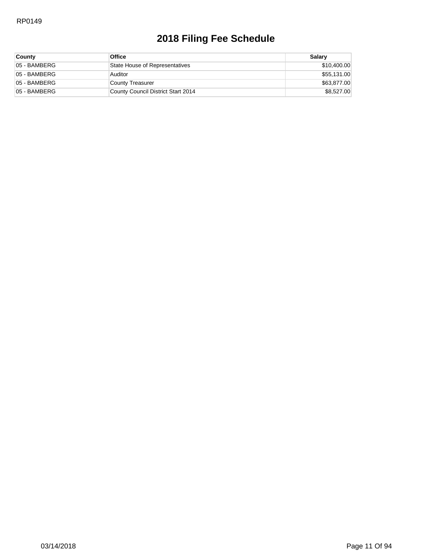| <b>County</b> | <b>Office</b>                      | Salary      |
|---------------|------------------------------------|-------------|
| 05 - BAMBERG  | State House of Representatives     | \$10,400.00 |
| 05 - BAMBERG  | Auditor                            | \$55,131.00 |
| 05 - BAMBERG  | County Treasurer                   | \$63,877.00 |
| 05 - BAMBERG  | County Council District Start 2014 | \$8,527.00  |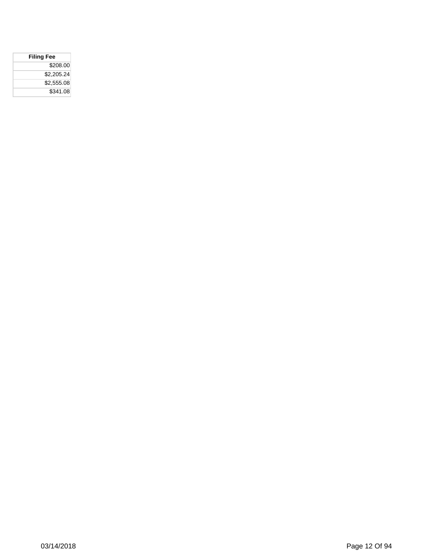| <b>Filing Fee</b> |
|-------------------|
| \$208.00          |
| \$2,205.24        |
| \$2,555.08        |
| \$341.08          |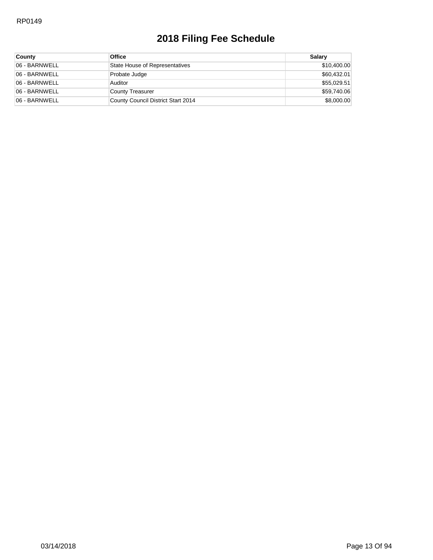| <b>County</b> | <b>Office</b>                      | Salary      |
|---------------|------------------------------------|-------------|
| 06 - BARNWELL | State House of Representatives     | \$10,400.00 |
| 06 - BARNWELL | Probate Judge                      | \$60,432.01 |
| 06 - BARNWELL | Auditor                            | \$55,029.51 |
| 06 - BARNWELL | County Treasurer                   | \$59,740.06 |
| 06 - BARNWELL | County Council District Start 2014 | \$8,000.00  |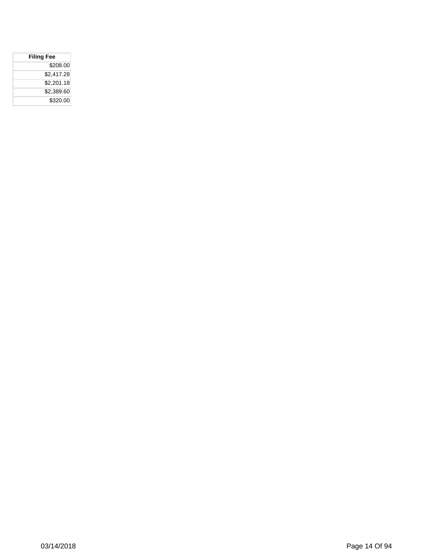| <b>Filing Fee</b> |            |
|-------------------|------------|
|                   | \$208.00   |
|                   | \$2,417.28 |
|                   | \$2,201.18 |
|                   | \$2,389.60 |
|                   | \$320.00   |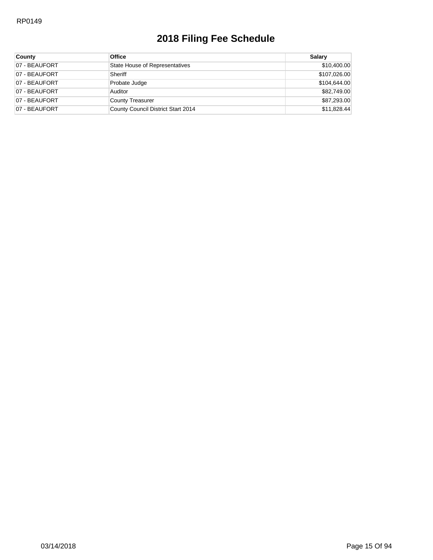| <b>County</b> | <b>Office</b>                         | Salary       |
|---------------|---------------------------------------|--------------|
| 07 - BEAUFORT | <b>State House of Representatives</b> | \$10,400.00  |
| 07 - BEAUFORT | Sheriff                               | \$107,026.00 |
| 07 - BEAUFORT | Probate Judge                         | \$104,644.00 |
| 07 - BEAUFORT | Auditor                               | \$82,749.00  |
| 07 - BEAUFORT | County Treasurer                      | \$87,293.00  |
| 07 - BEAUFORT | County Council District Start 2014    | \$11,828.44  |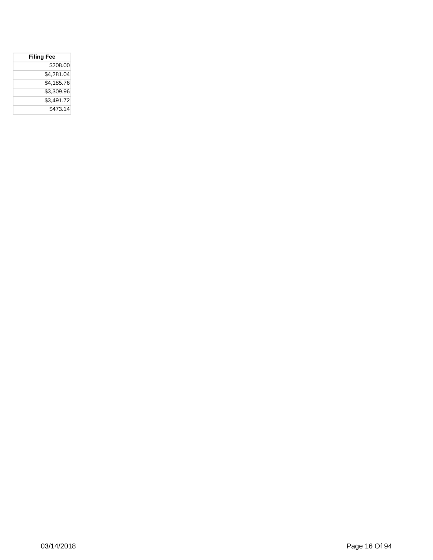| <b>Filing Fee</b> |  |  |
|-------------------|--|--|
| \$208.00          |  |  |
| \$4,281.04        |  |  |
| \$4.185.76        |  |  |
| \$3,309.96        |  |  |
| \$3,491.72        |  |  |
| \$473.14          |  |  |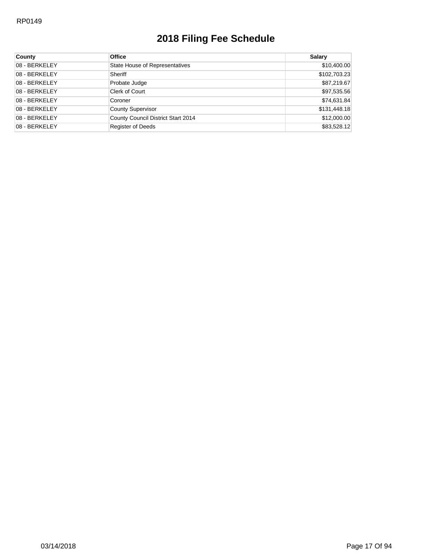| County        | <b>Office</b>                         | <b>Salary</b> |
|---------------|---------------------------------------|---------------|
| 08 - BERKELEY | <b>State House of Representatives</b> | \$10,400.00   |
| 08 - BERKELEY | Sheriff                               | \$102,703.23  |
| 08 - BERKELEY | Probate Judge                         | \$87,219.67   |
| 08 - BERKELEY | Clerk of Court                        | \$97,535.56   |
| 08 - BERKELEY | Coroner                               | \$74,631.84   |
| 08 - BERKELEY | <b>County Supervisor</b>              | \$131,448.18  |
| 08 - BERKELEY | County Council District Start 2014    | \$12,000.00   |
| 08 - BERKELEY | <b>Register of Deeds</b>              | \$83,528.12   |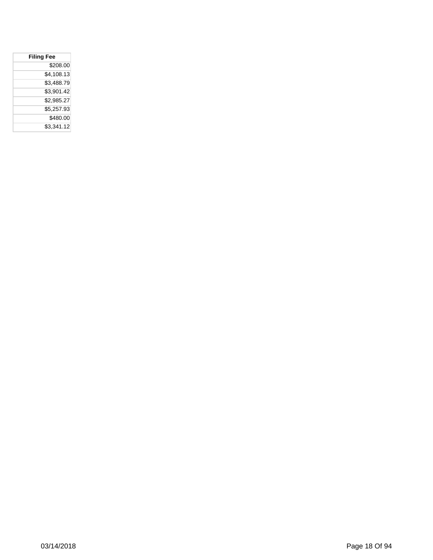| <b>Filing Fee</b> |  |  |
|-------------------|--|--|
| \$208.00          |  |  |
| \$4.108.13        |  |  |
| \$3,488.79        |  |  |
| \$3.901.42        |  |  |
| \$2,985.27        |  |  |
| \$5,257.93        |  |  |
| \$480.00          |  |  |
| \$3.341.12        |  |  |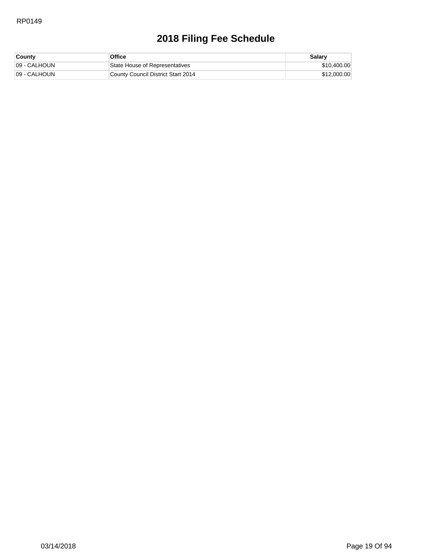| <b>County</b> | <b>Office</b>                      | Salary      |
|---------------|------------------------------------|-------------|
| 09 - CALHOUN  | State House of Representatives     | \$10,400.00 |
| 09 - CALHOUN  | County Council District Start 2014 | \$12,000.00 |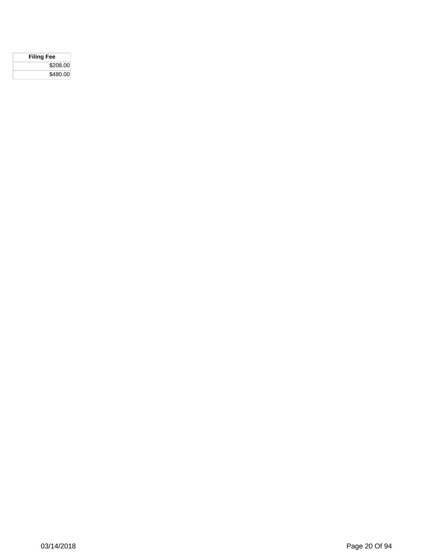| <b>Filing Fee</b> |  |
|-------------------|--|
| \$208.00          |  |
| \$480.00          |  |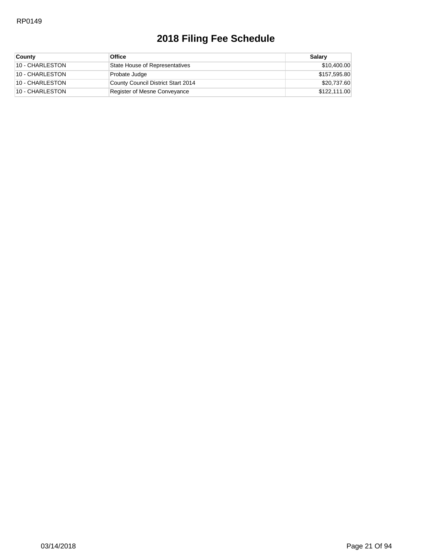| <b>County</b>   | <b>Office</b>                      | Salarv       |
|-----------------|------------------------------------|--------------|
| 10 - CHARLESTON | State House of Representatives     | \$10,400.00  |
| 10 - CHARLESTON | Probate Judge                      | \$157,595.80 |
| 10 - CHARLESTON | County Council District Start 2014 | \$20,737.60  |
| 10 - CHARLESTON | Register of Mesne Conveyance       | \$122,111.00 |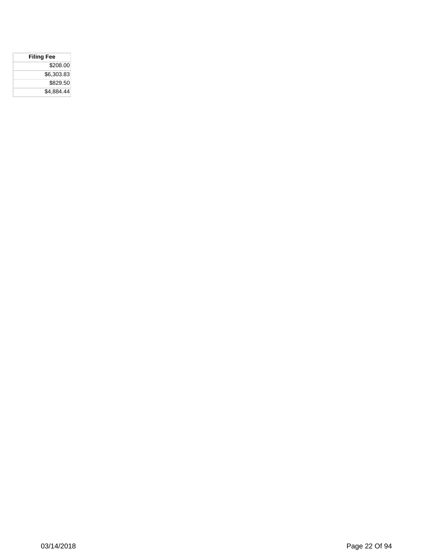| <b>Filing Fee</b> |  |
|-------------------|--|
| \$208.00          |  |
| \$6,303.83        |  |
| \$829.50          |  |
| \$4,884.44        |  |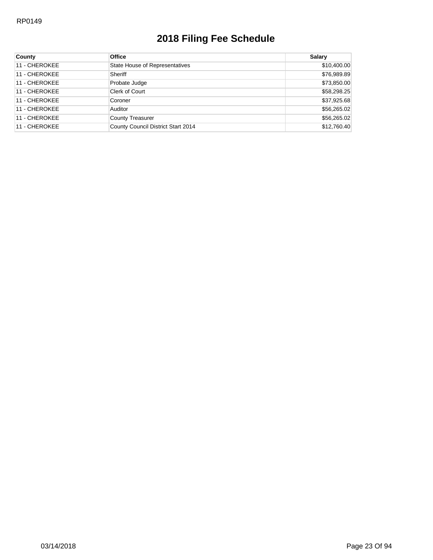| <b>County</b> | <b>Office</b>                      | <b>Salary</b> |
|---------------|------------------------------------|---------------|
| 11 - CHEROKEE | State House of Representatives     | \$10,400.00   |
| 11 - CHEROKEE | Sheriff                            | \$76,989.89   |
| 11 - CHEROKEE | Probate Judge                      | \$73,850.00   |
| 11 - CHEROKEE | Clerk of Court                     | \$58,298.25   |
| 11 - CHEROKEE | Coroner                            | \$37,925.68   |
| 11 - CHEROKEE | Auditor                            | \$56,265.02   |
| 11 - CHEROKEE | <b>County Treasurer</b>            | \$56,265.02   |
| 11 - CHEROKEE | County Council District Start 2014 | \$12,760.40   |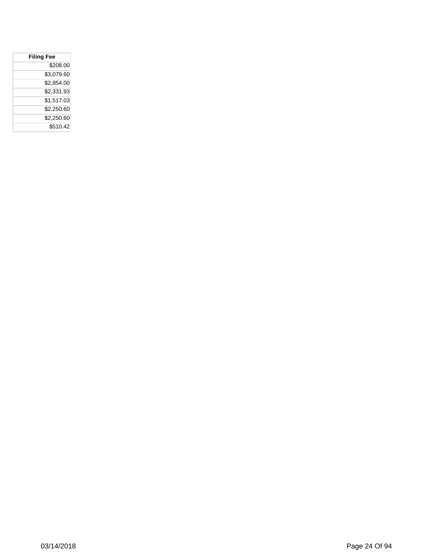| <b>Filing Fee</b> |            |  |
|-------------------|------------|--|
|                   | \$208.00   |  |
|                   | \$3,079.60 |  |
|                   | \$2.954.00 |  |
|                   | \$2,331.93 |  |
|                   | \$1.517.03 |  |
|                   | \$2,250.60 |  |
|                   | \$2,250.60 |  |
|                   | \$510.42   |  |
|                   |            |  |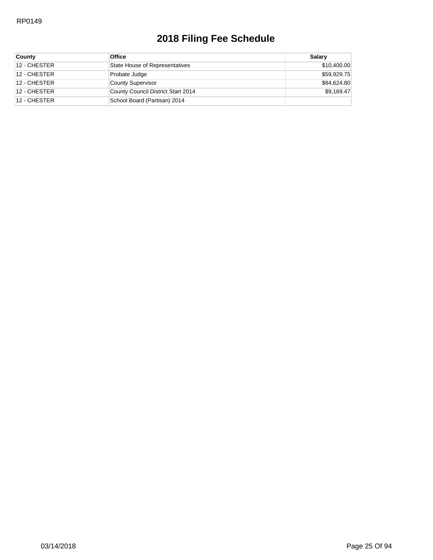| County       | <b>Office</b>                      | Salarv      |
|--------------|------------------------------------|-------------|
| 12 - CHESTER | State House of Representatives     | \$10,400.00 |
| 12 - CHESTER | Probate Judge                      | \$59,929.75 |
| 12 - CHESTER | <b>County Supervisor</b>           | \$84,624.80 |
| 12 - CHESTER | County Council District Start 2014 | \$9,169.47  |
| 12 - CHESTER | School Board (Partisan) 2014       |             |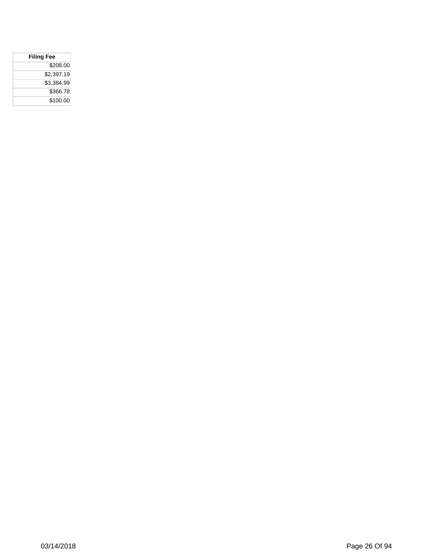| <b>Filing Fee</b> |  |
|-------------------|--|
| \$208.00          |  |
| \$2.397.19        |  |
| \$3,384.99        |  |
| \$366.78          |  |
| \$100.00          |  |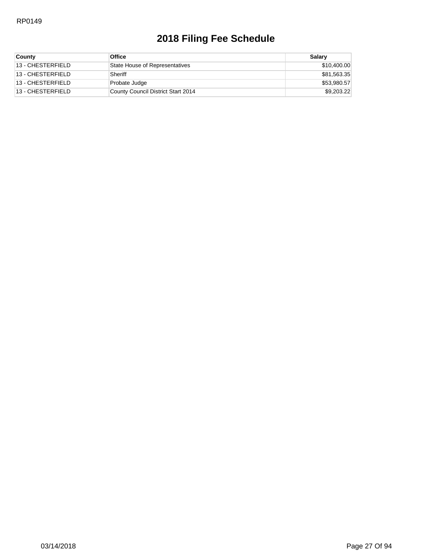| <b>County</b>     | <b>Office</b>                      | Salarv      |
|-------------------|------------------------------------|-------------|
| 13 - CHESTERFIELD | State House of Representatives     | \$10,400.00 |
| 13 - CHESTERFIELD | Sheriff                            | \$81,563.35 |
| 13 - CHESTERFIELD | Probate Judge                      | \$53,980.57 |
| 13 - CHESTERFIELD | County Council District Start 2014 | \$9,203.22  |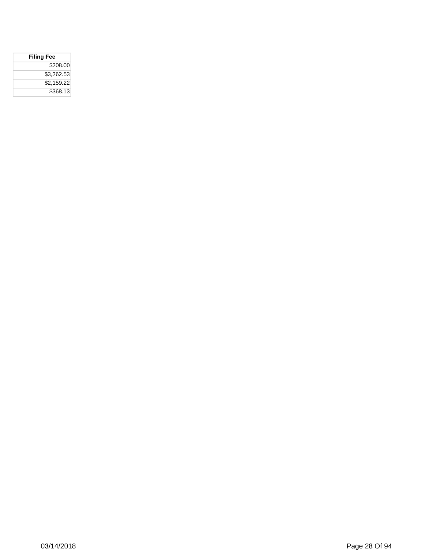| <b>Filing Fee</b> |
|-------------------|
| \$208.00          |
| \$3.262.53        |
| \$2,159.22        |
| \$368.13          |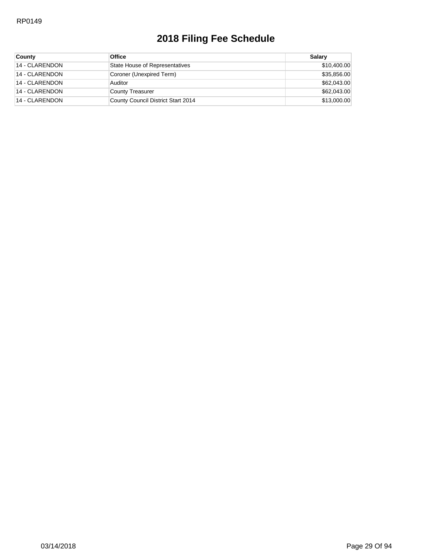| <b>County</b>  | <b>Office</b>                      | Salary      |
|----------------|------------------------------------|-------------|
| 14 - CLARENDON | State House of Representatives     | \$10,400.00 |
| 14 - CLARENDON | Coroner (Unexpired Term)           | \$35,856.00 |
| 14 - CLARENDON | Auditor                            | \$62,043.00 |
| 14 - CLARENDON | County Treasurer                   | \$62,043.00 |
| 14 - CLARENDON | County Council District Start 2014 | \$13,000.00 |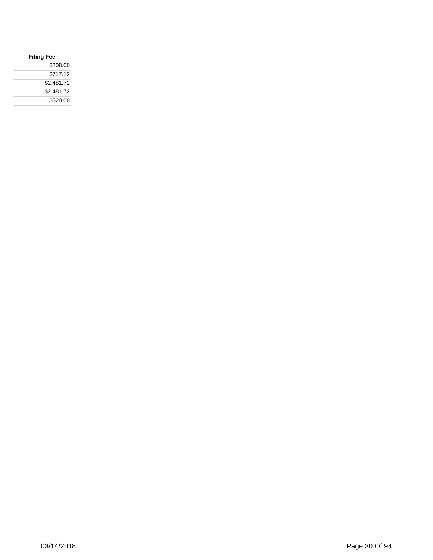| <b>Filing Fee</b> |
|-------------------|
| \$208.00          |
| \$717.12          |
| \$2,481.72        |
| \$2.481.72        |
| \$520.00          |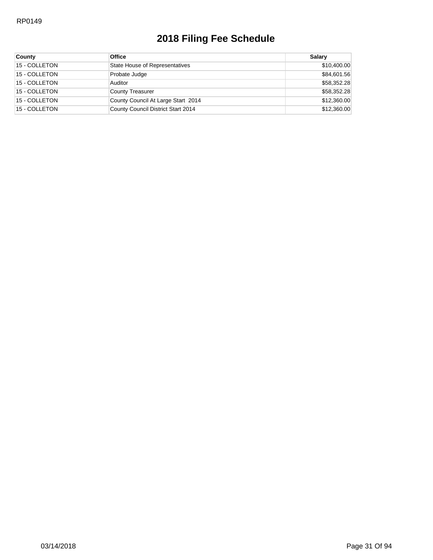| <b>County</b> | <b>Office</b>                      | Salary      |
|---------------|------------------------------------|-------------|
| 15 - COLLETON | State House of Representatives     | \$10,400.00 |
| 15 - COLLETON | Probate Judge                      | \$84,601.56 |
| 15 - COLLETON | Auditor                            | \$58,352.28 |
| 15 - COLLETON | <b>County Treasurer</b>            | \$58,352.28 |
| 15 - COLLETON | County Council At Large Start 2014 | \$12,360.00 |
| 15 - COLLETON | County Council District Start 2014 | \$12,360.00 |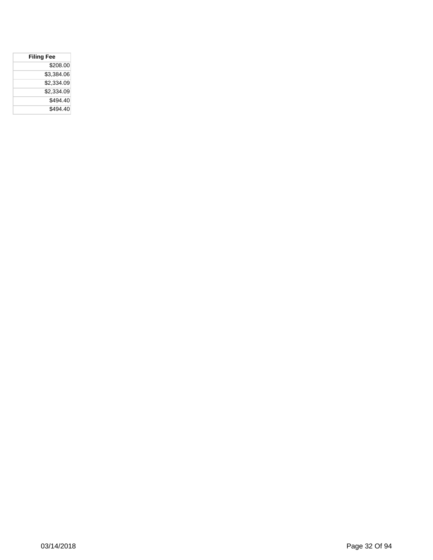| <b>Filing Fee</b> |
|-------------------|
| \$208.00          |
| \$3,384.06        |
| \$2,334.09        |
| \$2,334.09        |
| \$494.40          |
| \$494.40          |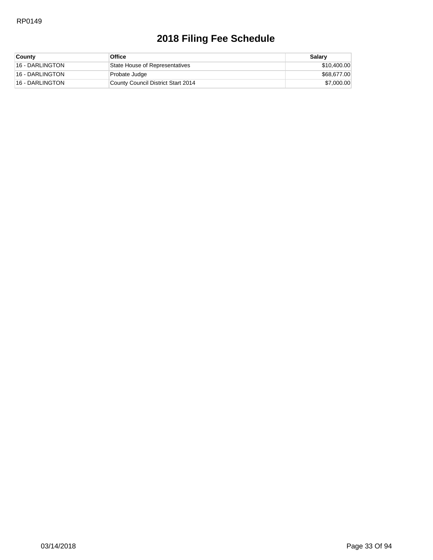| <b>County</b>   | Office                             | Salary      |
|-----------------|------------------------------------|-------------|
| 16 - DARLINGTON | State House of Representatives     | \$10,400.00 |
| 16 - DARLINGTON | Probate Judge                      | \$68,677.00 |
| 16 - DARLINGTON | County Council District Start 2014 | \$7,000.00  |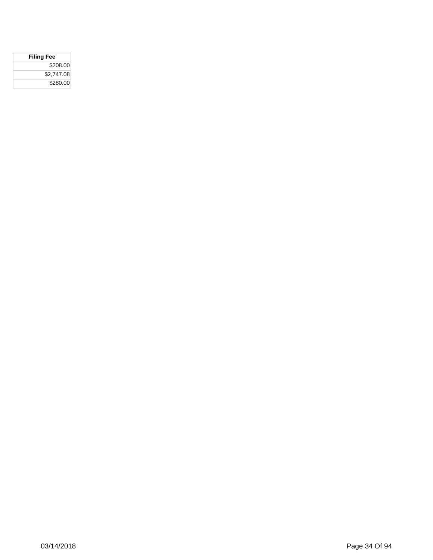| <b>Filing Fee</b> |
|-------------------|
| \$208.00          |
| \$2,747.08        |
| \$280.00          |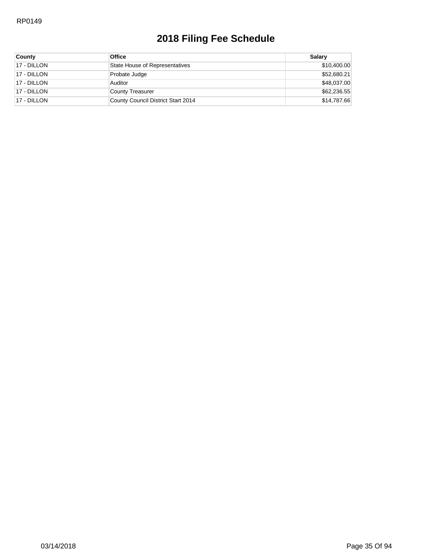| County      | <b>Office</b>                      | Salarv      |
|-------------|------------------------------------|-------------|
| 17 - DILLON | State House of Representatives     | \$10,400.00 |
| 17 - DILLON | Probate Judge                      | \$52,680.21 |
| 17 - DILLON | Auditor                            | \$48,037.00 |
| 17 - DILLON | County Treasurer                   | \$62,236.55 |
| 17 - DILLON | County Council District Start 2014 | \$14,787.66 |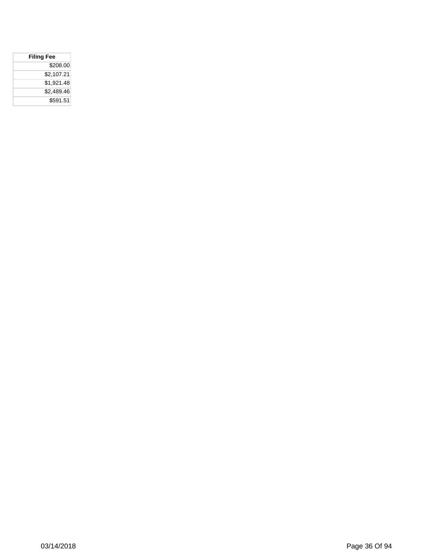| <b>Filing Fee</b> |  |
|-------------------|--|
| \$208.00          |  |
| \$2.107.21        |  |
| \$1.921.48        |  |
| \$2.489.46        |  |
| \$591.51          |  |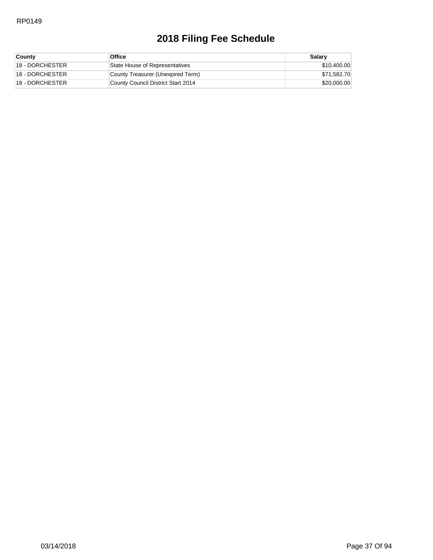| <b>County</b>   | <b>Office</b>                      | Salary      |
|-----------------|------------------------------------|-------------|
| 18 - DORCHESTER | State House of Representatives     | \$10,400.00 |
| 18 - DORCHESTER | County Treasurer (Unexpired Term)  | \$71,582.70 |
| 18 - DORCHESTER | County Council District Start 2014 | \$20,000.00 |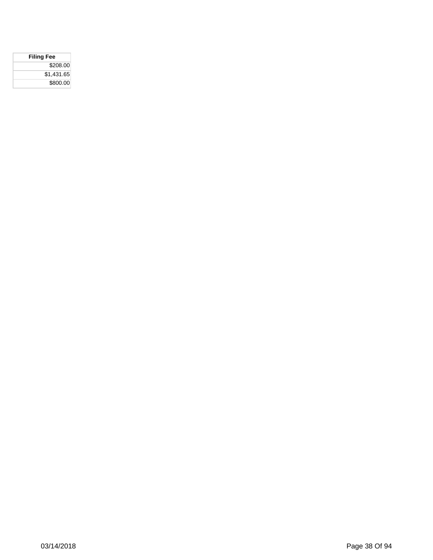| <b>Filing Fee</b> |  |
|-------------------|--|
| \$208.00          |  |
| \$1,431.65        |  |
| \$800.00          |  |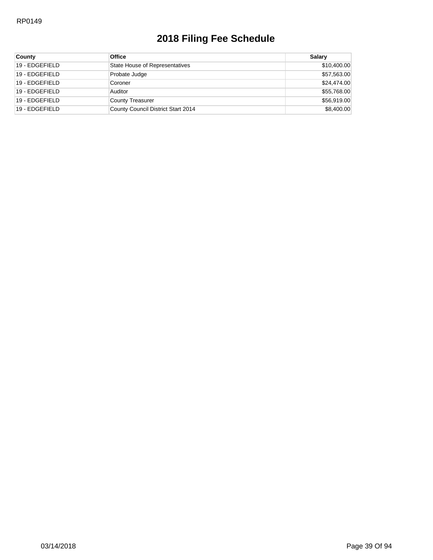| County         | <b>Office</b>                      | Salary      |
|----------------|------------------------------------|-------------|
| 19 - EDGEFIELD | State House of Representatives     | \$10,400.00 |
| 19 - EDGEFIELD | Probate Judge                      | \$57,563.00 |
| 19 - EDGEFIELD | Coroner                            | \$24,474.00 |
| 19 - EDGEFIELD | Auditor                            | \$55,768.00 |
| 19 - EDGEFIELD | <b>County Treasurer</b>            | \$56,919.00 |
| 19 - EDGEFIELD | County Council District Start 2014 | \$8,400.00  |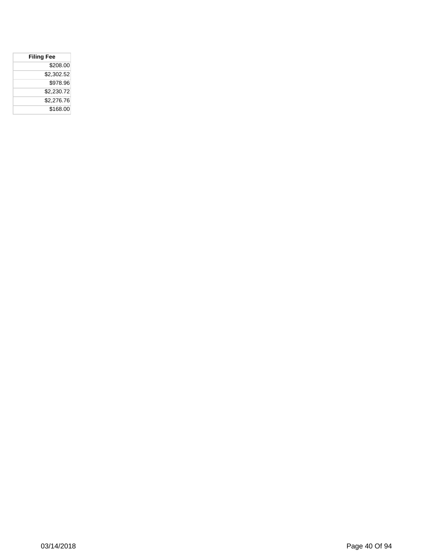| <b>Filing Fee</b> |
|-------------------|
| \$208.00          |
| \$2,302.52        |
| \$978.96          |
| \$2,230.72        |
| \$2,276.76        |
| \$168.00          |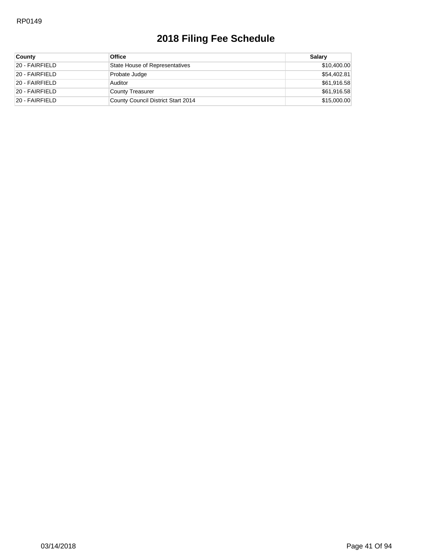| <b>County</b>  | <b>Office</b>                      | Salarv      |
|----------------|------------------------------------|-------------|
| 20 - FAIRFIELD | State House of Representatives     | \$10,400.00 |
| 20 - FAIRFIELD | Probate Judge                      | \$54,402.81 |
| 20 - FAIRFIELD | Auditor                            | \$61,916.58 |
| 20 - FAIRFIELD | County Treasurer                   | \$61,916.58 |
| 20 - FAIRFIELD | County Council District Start 2014 | \$15,000.00 |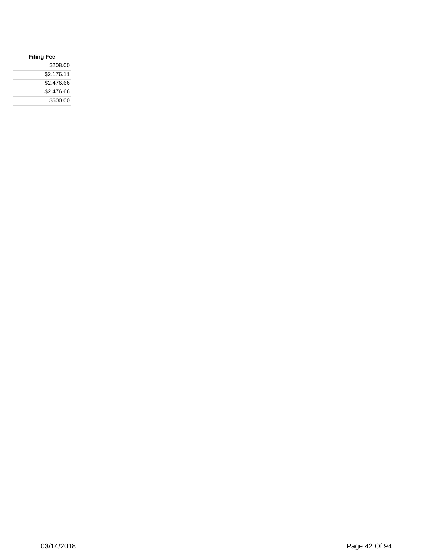| <b>Filing Fee</b> |            |
|-------------------|------------|
|                   | \$208.00   |
|                   | \$2,176.11 |
|                   | \$2,476.66 |
|                   | \$2,476.66 |
|                   | \$600.00   |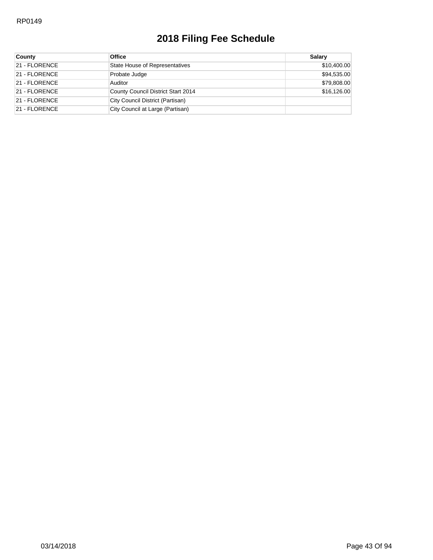| <b>County</b> | <b>Office</b>                      | <b>Salary</b> |
|---------------|------------------------------------|---------------|
| 21 - FLORENCE | State House of Representatives     | \$10,400.00   |
| 21 - FLORENCE | Probate Judge                      | \$94,535.00   |
| 21 - FLORENCE | Auditor                            | \$79,808.00   |
| 21 - FLORENCE | County Council District Start 2014 | \$16,126.00   |
| 21 - FLORENCE | City Council District (Partisan)   |               |
| 21 - FLORENCE | City Council at Large (Partisan)   |               |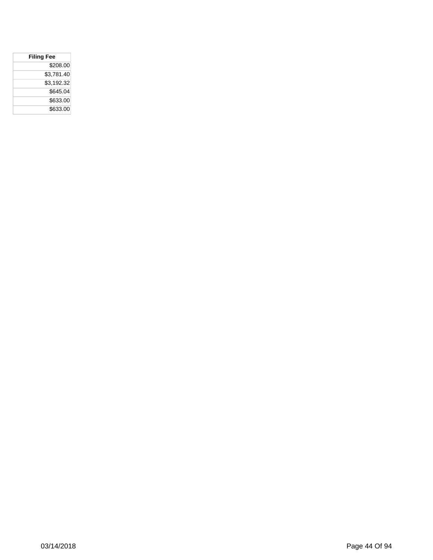| <b>Filing Fee</b> |
|-------------------|
| \$208.00          |
| \$3,781.40        |
| \$3.192.32        |
| \$645.04          |
| \$633.00          |
| \$633.00          |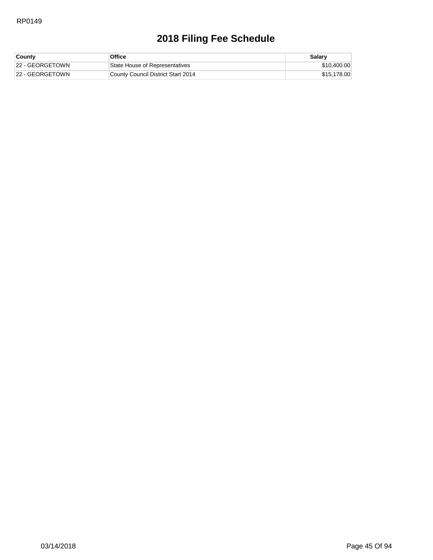| County          | Office                             | Salary      |
|-----------------|------------------------------------|-------------|
| 22 - GEORGETOWN | State House of Representatives     | \$10,400.00 |
| 22 - GEORGETOWN | County Council District Start 2014 | \$15,178,00 |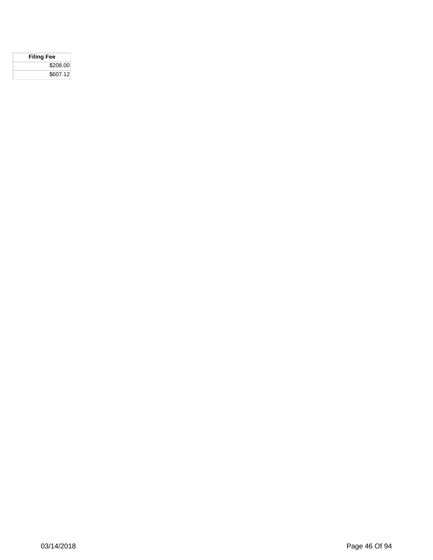| <b>Filing Fee</b> |  |
|-------------------|--|
| \$208.00          |  |
| \$607.12          |  |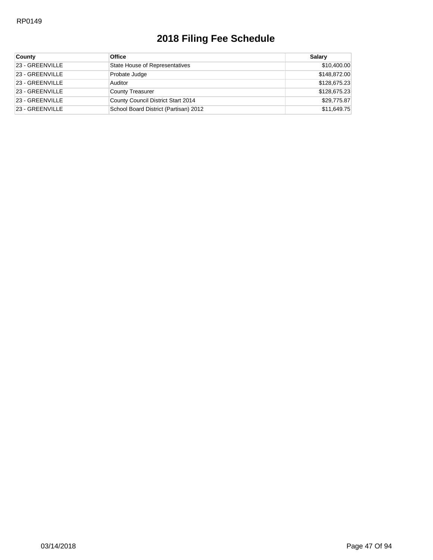| <b>County</b>   | <b>Office</b>                         | Salary       |
|-----------------|---------------------------------------|--------------|
| 23 - GREENVILLE | State House of Representatives        | \$10,400.00  |
| 23 - GREENVILLE | Probate Judge                         | \$148,872.00 |
| 23 - GREENVILLE | Auditor                               | \$128,675.23 |
| 23 - GREENVILLE | <b>County Treasurer</b>               | \$128,675.23 |
| 23 - GREENVILLE | County Council District Start 2014    | \$29,775.87  |
| 23 - GREENVILLE | School Board District (Partisan) 2012 | \$11,649.75  |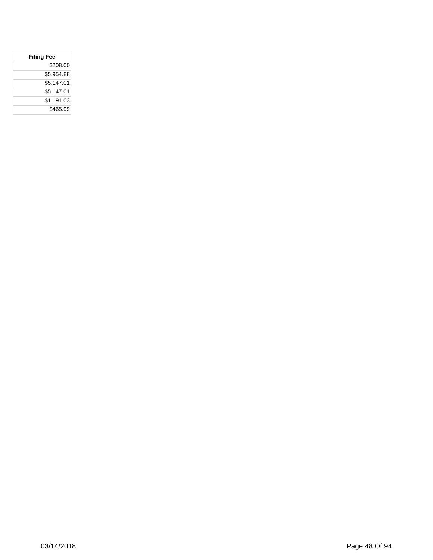| <b>Filing Fee</b> |  |
|-------------------|--|
| \$208.00          |  |
| \$5,954.88        |  |
| \$5,147.01        |  |
| \$5.147.01        |  |
| \$1,191.03        |  |
| \$465.99          |  |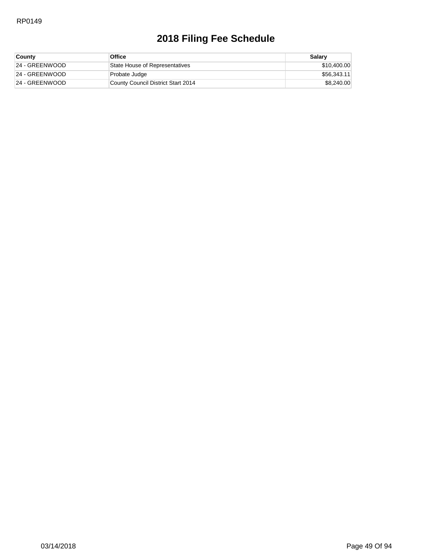| <b>County</b>  | Office                             | Salary      |
|----------------|------------------------------------|-------------|
| 24 - GREENWOOD | State House of Representatives     | \$10,400.00 |
| 24 - GREENWOOD | Probate Judge                      | \$56,343.11 |
| 24 - GREENWOOD | County Council District Start 2014 | \$8,240.00  |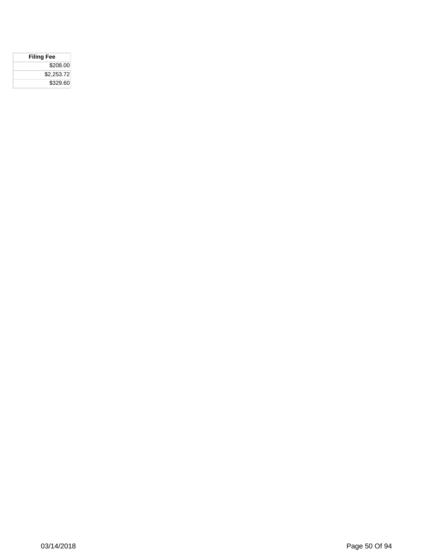| <b>Filing Fee</b> |  |
|-------------------|--|
| \$208.00          |  |
| \$2,253.72        |  |
| \$329.60          |  |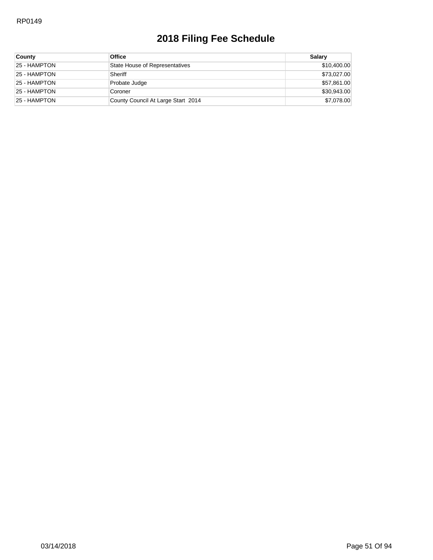| County       | <b>Office</b>                      | Salary      |
|--------------|------------------------------------|-------------|
| 25 - HAMPTON | State House of Representatives     | \$10,400.00 |
| 25 - HAMPTON | Sheriff                            | \$73,027.00 |
| 25 - HAMPTON | Probate Judge                      | \$57,861.00 |
| 25 - HAMPTON | Coroner                            | \$30,943.00 |
| 25 - HAMPTON | County Council At Large Start 2014 | \$7,078.00  |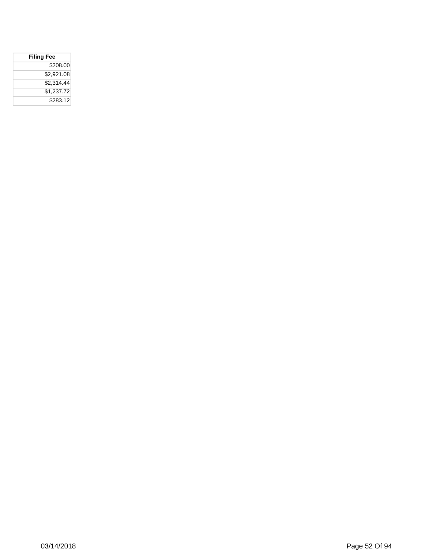| <b>Filing Fee</b> |  |
|-------------------|--|
| \$208.00          |  |
| \$2.921.08        |  |
| \$2,314.44        |  |
| \$1.237.72        |  |
| \$283.12          |  |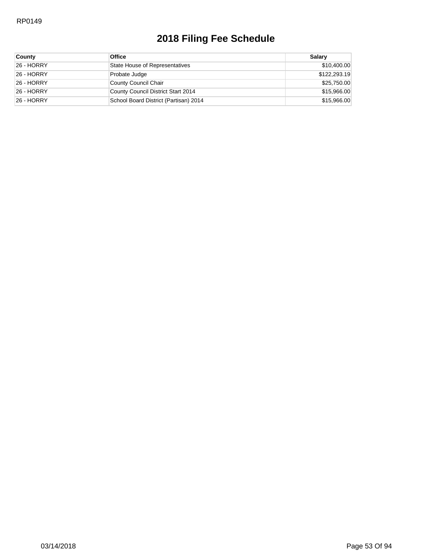| <b>County</b> | <b>Office</b>                         | Salarv       |
|---------------|---------------------------------------|--------------|
| 26 - HORRY    | State House of Representatives        | \$10,400.00  |
| 26 - HORRY    | Probate Judge                         | \$122,293.19 |
| 26 - HORRY    | County Council Chair                  | \$25,750.00  |
| 26 - HORRY    | County Council District Start 2014    | \$15,966.00  |
| 26 - HORRY    | School Board District (Partisan) 2014 | \$15,966.00  |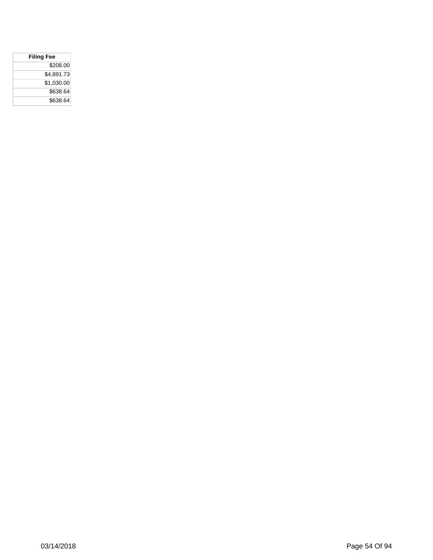| <b>Filing Fee</b> |  |
|-------------------|--|
| \$208.00          |  |
| \$4,891.73        |  |
| \$1,030.00        |  |
| \$638.64          |  |
| \$638.64          |  |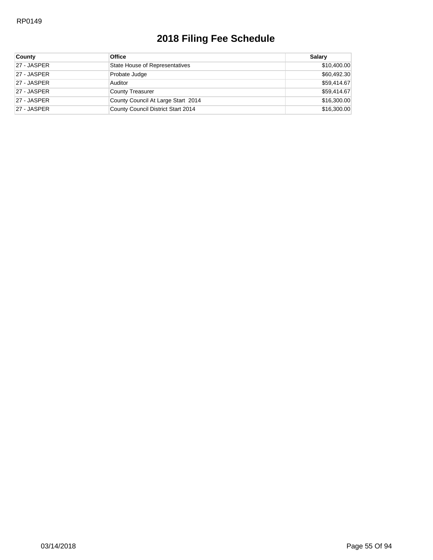| <b>County</b> | <b>Office</b>                      | Salary      |
|---------------|------------------------------------|-------------|
| 27 - JASPER   | State House of Representatives     | \$10,400.00 |
| 27 - JASPER   | Probate Judge                      | \$60,492.30 |
| 27 - JASPER   | Auditor                            | \$59,414.67 |
| 27 - JASPER   | County Treasurer                   | \$59,414.67 |
| 27 - JASPER   | County Council At Large Start 2014 | \$16,300.00 |
| 27 - JASPER   | County Council District Start 2014 | \$16,300.00 |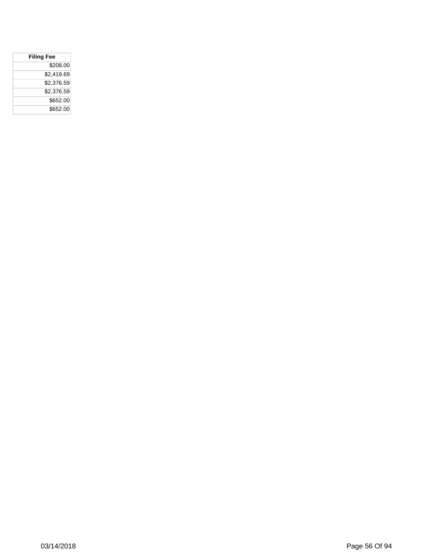| <b>Filing Fee</b> |  |
|-------------------|--|
| \$208.00          |  |
| \$2,419.69        |  |
| \$2,376.59        |  |
| \$2,376.59        |  |
| \$652.00          |  |
| \$652.00          |  |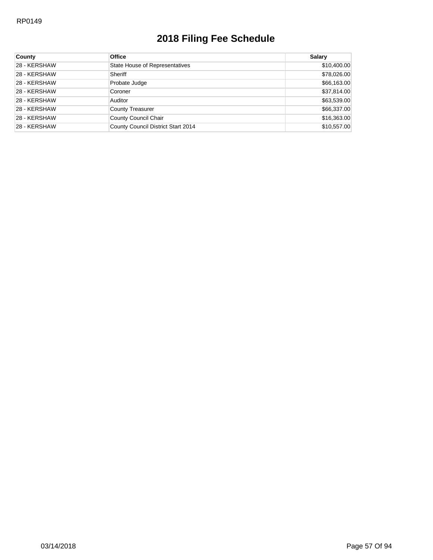| County       | <b>Office</b>                      | <b>Salary</b> |
|--------------|------------------------------------|---------------|
| 28 - KERSHAW | State House of Representatives     | \$10,400.00   |
| 28 - KERSHAW | Sheriff                            | \$78,026.00   |
| 28 - KERSHAW | Probate Judge                      | \$66,163.00   |
| 28 - KERSHAW | Coroner                            | \$37,814.00   |
| 28 - KERSHAW | Auditor                            | \$63,539.00   |
| 28 - KERSHAW | County Treasurer                   | \$66,337.00   |
| 28 - KERSHAW | County Council Chair               | \$16,363.00   |
| 28 - KERSHAW | County Council District Start 2014 | \$10,557.00   |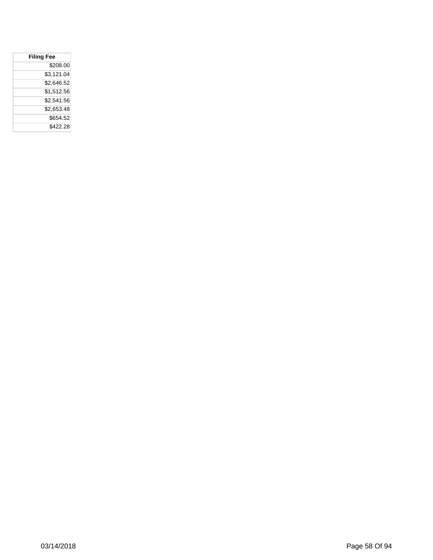| <b>Filing Fee</b> |          |
|-------------------|----------|
|                   | \$208.00 |
| \$3.121.04        |          |
| \$2.646.52        |          |
| \$1,512.56        |          |
| \$2.541.56        |          |
| \$2.653.48        |          |
|                   | \$654.52 |
|                   | \$422.28 |
|                   |          |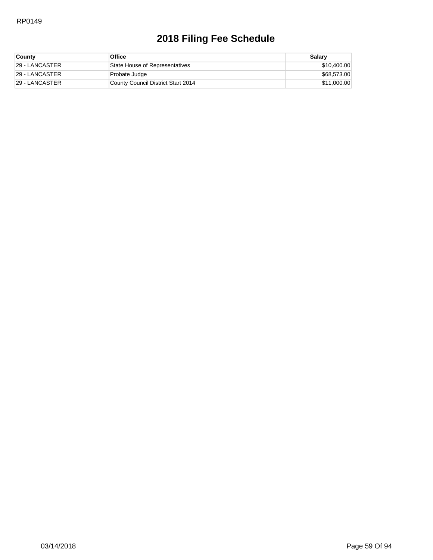| <b>County</b>   | <b>Office</b>                      | Salary      |
|-----------------|------------------------------------|-------------|
| 129 - LANCASTER | State House of Representatives     | \$10,400.00 |
| 129 - LANCASTER | Probate Judge                      | \$68,573.00 |
| 129 - LANCASTER | County Council District Start 2014 | \$11,000.00 |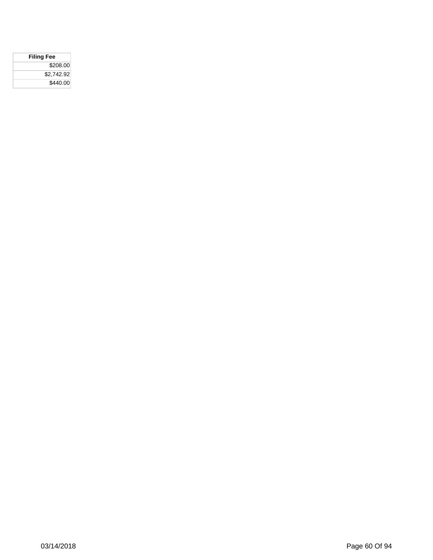| <b>Filing Fee</b> |  |
|-------------------|--|
| \$208.00          |  |
| \$2,742.92        |  |
| \$440.00          |  |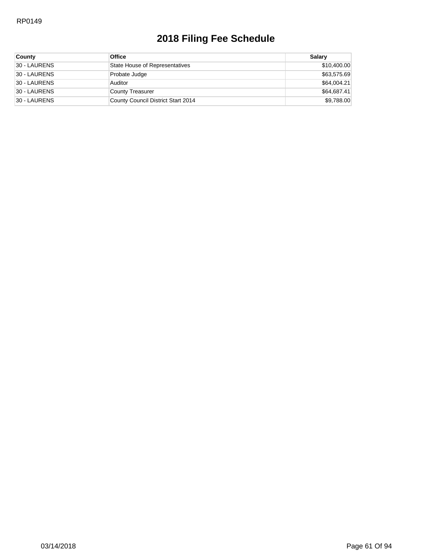| <b>County</b> | <b>Office</b>                      | Salary      |
|---------------|------------------------------------|-------------|
| 30 - LAURENS  | State House of Representatives     | \$10,400.00 |
| 30 - LAURENS  | Probate Judge                      | \$63,575.69 |
| 30 - LAURENS  | Auditor                            | \$64,004.21 |
| 30 - LAURENS  | County Treasurer                   | \$64,687.41 |
| 30 - LAURENS  | County Council District Start 2014 | \$9,788.00  |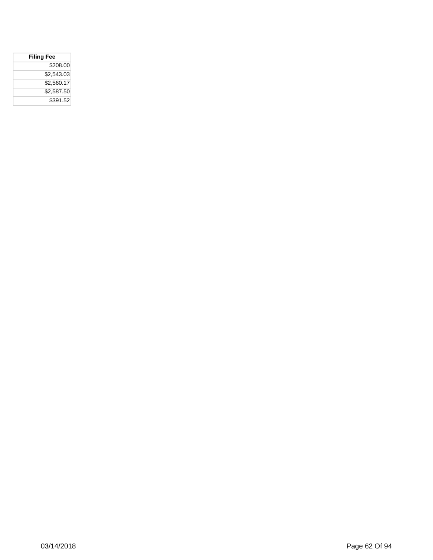| <b>Filing Fee</b> |  |
|-------------------|--|
| \$208.00          |  |
| \$2,543.03        |  |
| \$2,560.17        |  |
| \$2,587.50        |  |
| \$391.52          |  |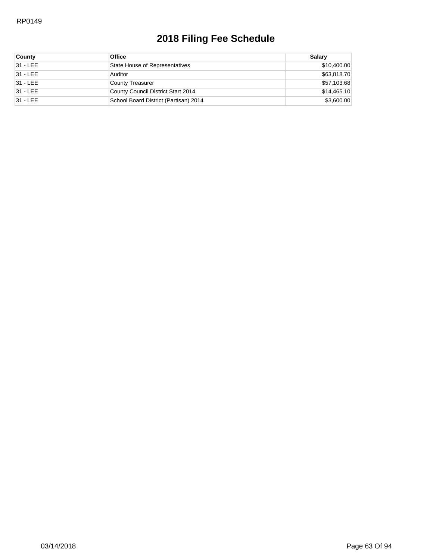| <b>County</b> | <b>Office</b>                         | Salarv      |
|---------------|---------------------------------------|-------------|
| 31 - LEE      | State House of Representatives        | \$10,400.00 |
| 31 - LEE      | Auditor                               | \$63,818.70 |
| 31 - LEE      | County Treasurer                      | \$57,103.68 |
| 31 - LEE      | County Council District Start 2014    | \$14,465.10 |
| 31 - LEE      | School Board District (Partisan) 2014 | \$3,600.00  |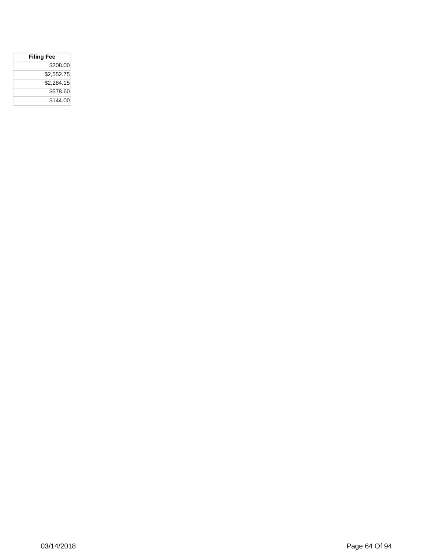| <b>Filing Fee</b> |  |
|-------------------|--|
| \$208.00          |  |
| \$2,552.75        |  |
| \$2,284.15        |  |
| \$578.60          |  |
| \$144.00          |  |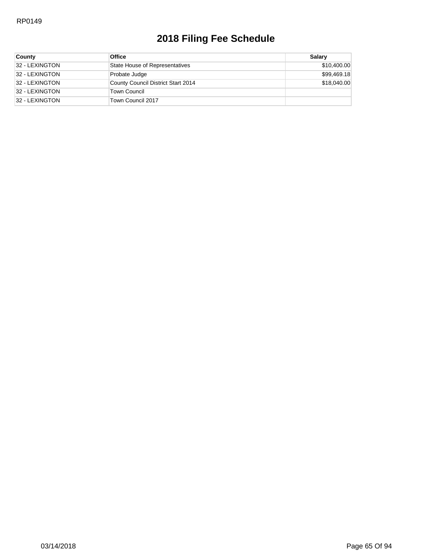| <b>County</b>  | <b>Office</b>                      | Salarv      |
|----------------|------------------------------------|-------------|
| 32 - LEXINGTON | State House of Representatives     | \$10,400.00 |
| 32 - LEXINGTON | Probate Judge                      | \$99,469.18 |
| 32 - LEXINGTON | County Council District Start 2014 | \$18,040,00 |
| 32 - LEXINGTON | Town Council                       |             |
| 32 - LEXINGTON | Town Council 2017                  |             |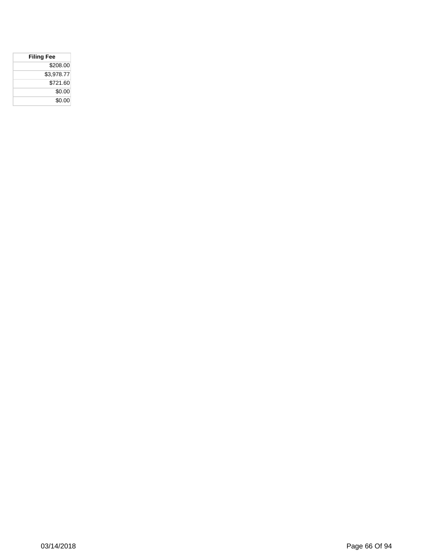| <b>Filing Fee</b> |  |
|-------------------|--|
| \$208.00          |  |
| \$3,978.77        |  |
| \$721.60          |  |
| \$0.00            |  |
| \$0.00            |  |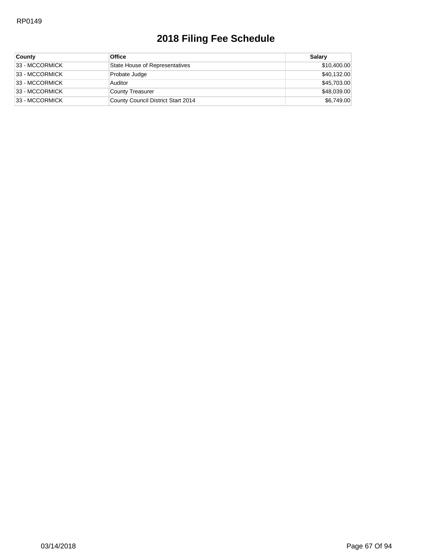| <b>County</b>  | <b>Office</b>                      | Salary      |
|----------------|------------------------------------|-------------|
| 33 - MCCORMICK | State House of Representatives     | \$10,400.00 |
| 33 - MCCORMICK | Probate Judge                      | \$40,132.00 |
| 33 - MCCORMICK | Auditor                            | \$45,703.00 |
| 33 - MCCORMICK | County Treasurer                   | \$48,039.00 |
| 33 - MCCORMICK | County Council District Start 2014 | \$6,749.00  |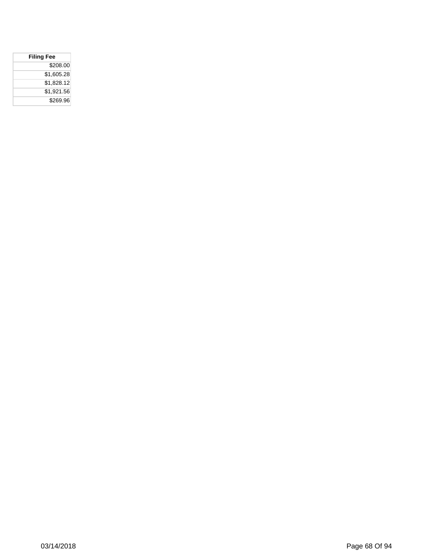| <b>Filing Fee</b> |            |
|-------------------|------------|
|                   | \$208.00   |
|                   | \$1,605.28 |
|                   | \$1,828.12 |
|                   | \$1,921.56 |
|                   | \$269.96   |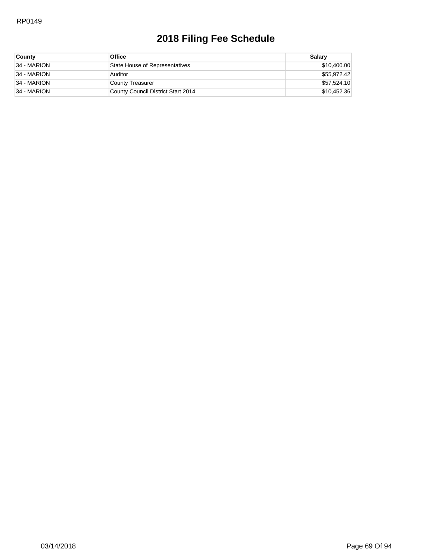| <b>County</b> | <b>Office</b>                      | Salarv      |
|---------------|------------------------------------|-------------|
| 34 - MARION   | State House of Representatives     | \$10,400.00 |
| 34 - MARION   | Auditor                            | \$55,972.42 |
| 34 - MARION   | County Treasurer                   | \$57,524.10 |
| 34 - MARION   | County Council District Start 2014 | \$10,452.36 |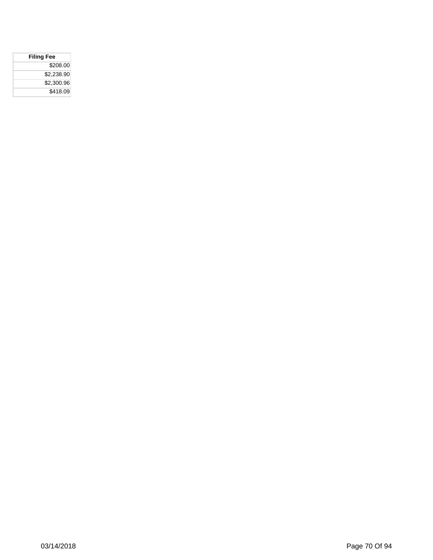| <b>Filing Fee</b> |
|-------------------|
| \$208.00          |
| \$2.238.90        |
| \$2,300.96        |
| \$418.09          |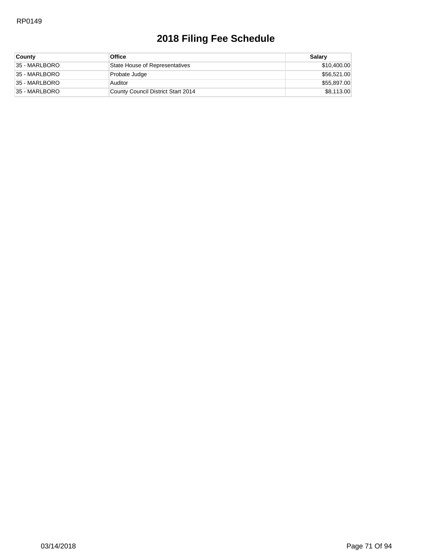| <b>County</b> | <b>Office</b>                      | Salary      |
|---------------|------------------------------------|-------------|
| 35 - MARLBORO | State House of Representatives     | \$10,400.00 |
| 35 - MARLBORO | Probate Judge                      | \$56,521.00 |
| 35 - MARLBORO | Auditor                            | \$55,897.00 |
| 35 - MARLBORO | County Council District Start 2014 | \$8,113.00  |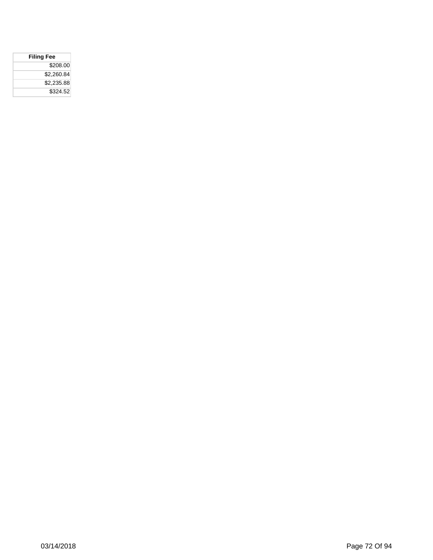| <b>Filing Fee</b> |
|-------------------|
| \$208.00          |
| \$2.260.84        |
| \$2.235.88        |
| \$324.52          |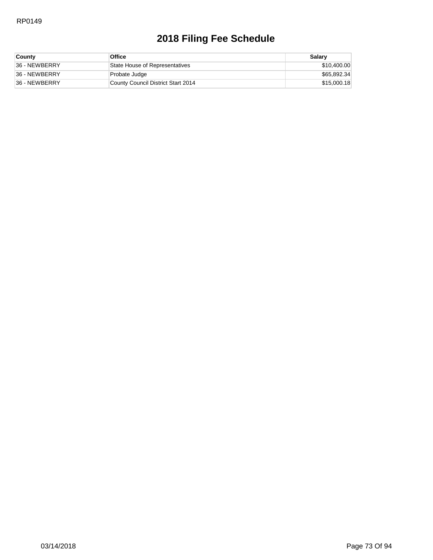| <b>County</b> | <b>Office</b>                      | Salary      |
|---------------|------------------------------------|-------------|
| 36 - NEWBERRY | State House of Representatives     | \$10,400.00 |
| 36 - NEWBERRY | Probate Judge                      | \$65,892.34 |
| 36 - NEWBERRY | County Council District Start 2014 | \$15,000.18 |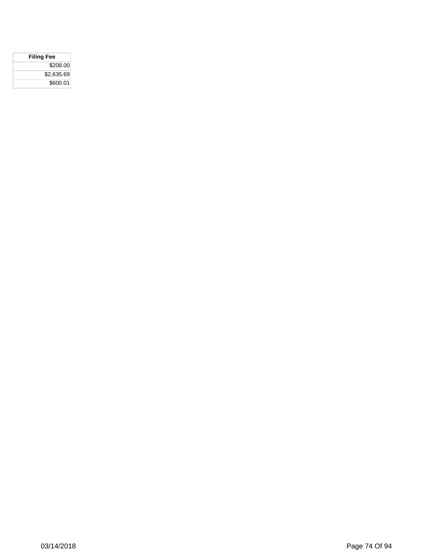| <b>Filing Fee</b> |  |
|-------------------|--|
| \$208.00          |  |
| \$2,635.69        |  |
| \$600.01          |  |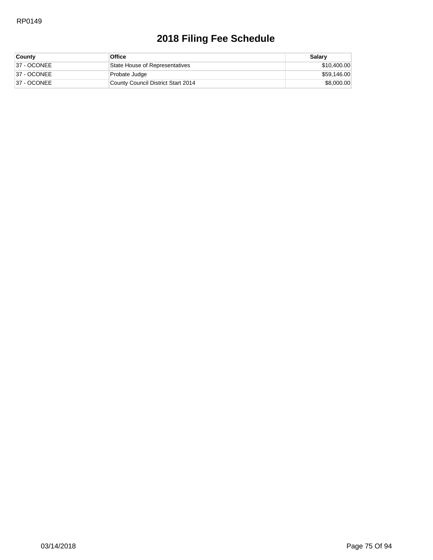| <b>County</b> | Office                             | Salary      |
|---------------|------------------------------------|-------------|
| 37 - OCONEE   | State House of Representatives     | \$10,400.00 |
| 37 - OCONEE   | Probate Judge                      | \$59,146.00 |
| 37 - OCONEE   | County Council District Start 2014 | \$8,000.00  |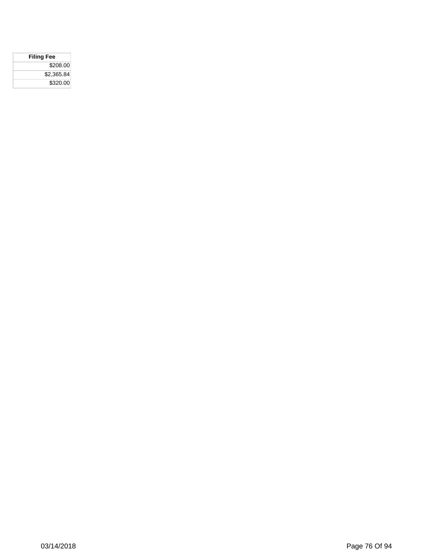| <b>Filing Fee</b> |  |
|-------------------|--|
| \$208.00          |  |
| \$2,365.84        |  |
| \$320.00          |  |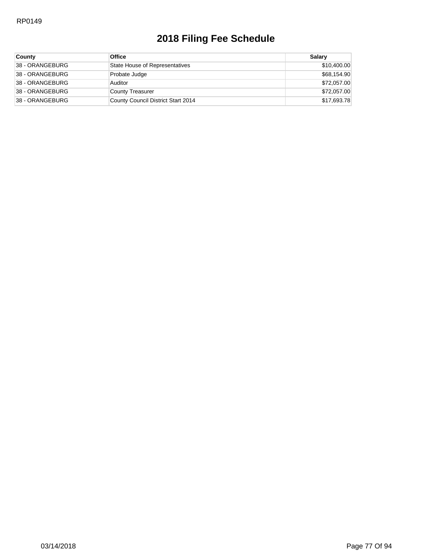| County                 | <b>Office</b>                      | Salary      |
|------------------------|------------------------------------|-------------|
| <b>38 - ORANGEBURG</b> | State House of Representatives     | \$10,400.00 |
| 38 - ORANGEBURG        | Probate Judge                      | \$68,154.90 |
| 38 - ORANGEBURG        | Auditor                            | \$72,057.00 |
| 38 - ORANGEBURG        | County Treasurer                   | \$72,057.00 |
| 38 - ORANGEBURG        | County Council District Start 2014 | \$17,693.78 |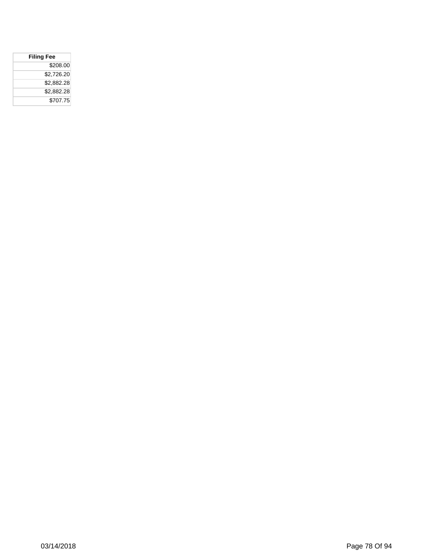| <b>Filing Fee</b> |            |
|-------------------|------------|
|                   | \$208.00   |
|                   | \$2,726.20 |
|                   | \$2.882.28 |
|                   | \$2,882.28 |
|                   | \$707.75   |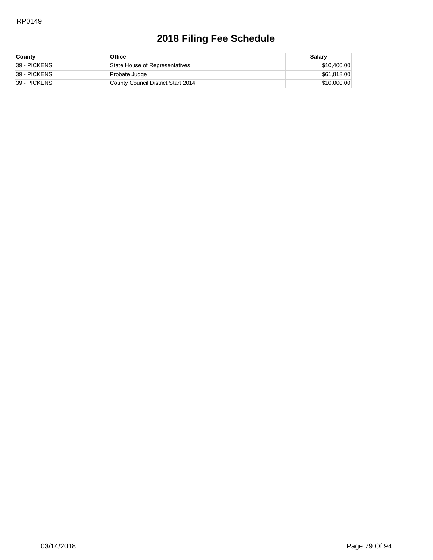| <b>County</b> | <b>Office</b>                      | Salary      |
|---------------|------------------------------------|-------------|
| 39 - PICKENS  | State House of Representatives     | \$10,400.00 |
| 39 - PICKENS  | Probate Judge                      | \$61,818.00 |
| 39 - PICKENS  | County Council District Start 2014 | \$10,000.00 |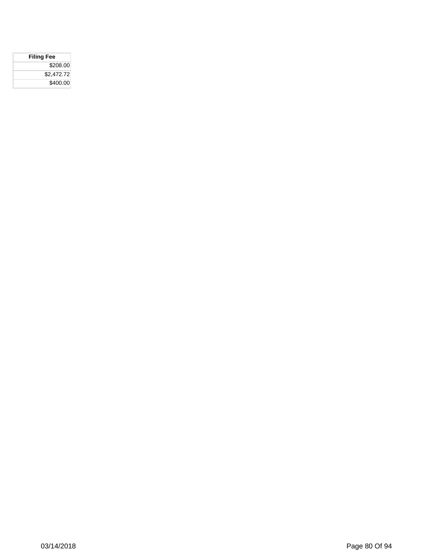| <b>Filing Fee</b> |  |
|-------------------|--|
| \$208.00          |  |
| \$2,472.72        |  |
| \$400.00          |  |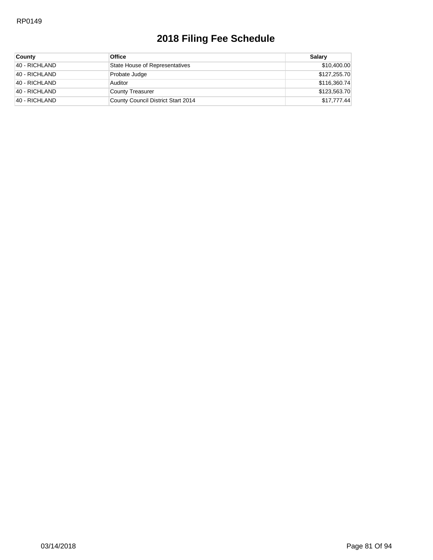| County        | <b>Office</b>                      | Salary       |
|---------------|------------------------------------|--------------|
| 40 - RICHLAND | State House of Representatives     | \$10,400.00  |
| 40 - RICHLAND | Probate Judge                      | \$127,255.70 |
| 40 - RICHLAND | Auditor                            | \$116,360.74 |
| 40 - RICHLAND | County Treasurer                   | \$123,563.70 |
| 40 - RICHLAND | County Council District Start 2014 | \$17,777.44  |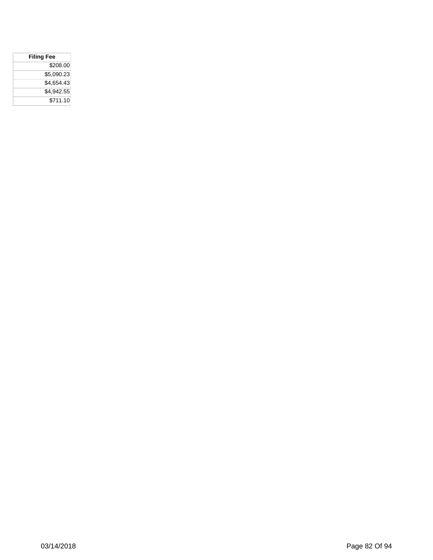| <b>Filing Fee</b> |            |  |
|-------------------|------------|--|
|                   | \$208.00   |  |
|                   | \$5,090.23 |  |
|                   | \$4,654.43 |  |
|                   | \$4,942.55 |  |
|                   | \$711.10   |  |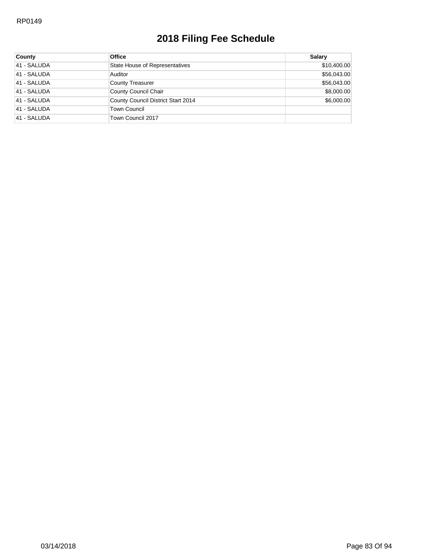| <b>County</b> | <b>Office</b>                         | Salary      |
|---------------|---------------------------------------|-------------|
| 41 - SALUDA   | <b>State House of Representatives</b> | \$10,400.00 |
| 41 - SALUDA   | Auditor                               | \$56,043.00 |
| 41 - SALUDA   | County Treasurer                      | \$56,043.00 |
| 41 - SALUDA   | County Council Chair                  | \$8,000.00  |
| 41 - SALUDA   | County Council District Start 2014    | \$6,000.00  |
| 41 - SALUDA   | <b>Town Council</b>                   |             |
| 41 - SALUDA   | Town Council 2017                     |             |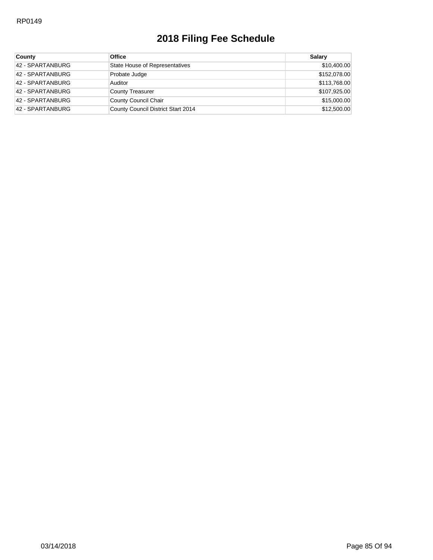| <b>County</b>    | <b>Office</b>                      | Salary       |
|------------------|------------------------------------|--------------|
| 42 - SPARTANBURG | State House of Representatives     | \$10,400.00  |
| 42 - SPARTANBURG | Probate Judge                      | \$152,078.00 |
| 42 - SPARTANBURG | Auditor                            | \$113,768.00 |
| 42 - SPARTANBURG | County Treasurer                   | \$107,925.00 |
| 42 - SPARTANBURG | County Council Chair               | \$15,000.00  |
| 42 - SPARTANBURG | County Council District Start 2014 | \$12,500.00  |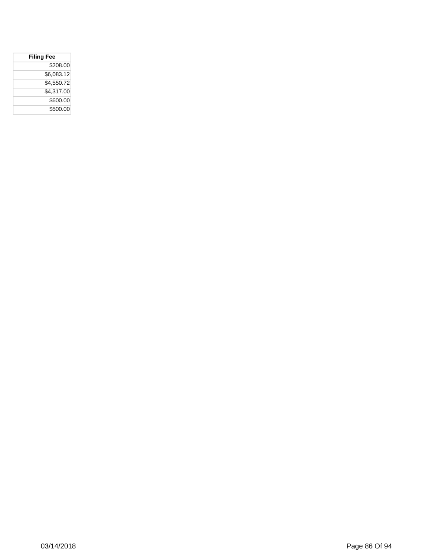| <b>Filing Fee</b> |
|-------------------|
| \$208.00          |
| \$6,083.12        |
| \$4,550.72        |
| \$4,317.00        |
| \$600.00          |
| \$500.00          |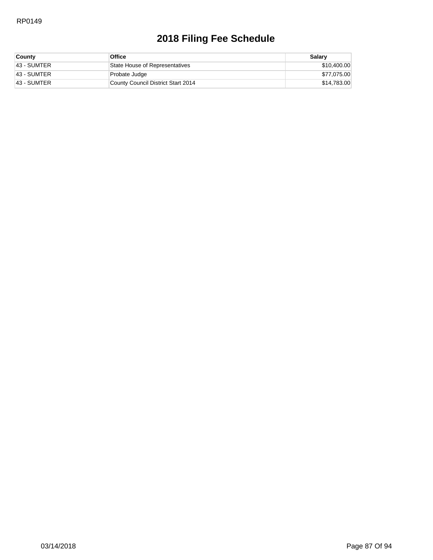| <b>County</b> | <b>Office</b>                      | Salary      |
|---------------|------------------------------------|-------------|
| 43 - SUMTER   | State House of Representatives     | \$10,400.00 |
| 43 - SUMTER   | Probate Judge                      | \$77,075.00 |
| 43 - SUMTER   | County Council District Start 2014 | \$14,783.00 |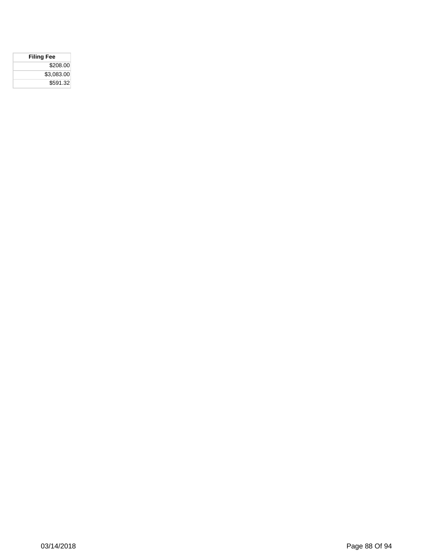| <b>Filing Fee</b> |
|-------------------|
| \$208.00          |
| \$3.083.00        |
| \$591.32          |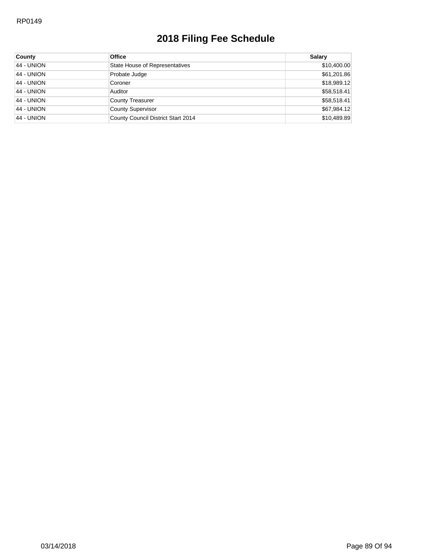| County            | <b>Office</b>                      | Salary      |
|-------------------|------------------------------------|-------------|
| 44 - UNION        | State House of Representatives     | \$10,400.00 |
| 44 - UNION        | Probate Judge                      | \$61,201.86 |
| <b>44 - UNION</b> | Coroner                            | \$18,989.12 |
| 44 - UNION        | Auditor                            | \$58,518.41 |
| <b>44 - UNION</b> | <b>County Treasurer</b>            | \$58,518.41 |
| 44 - UNION        | <b>County Supervisor</b>           | \$67,984.12 |
| 44 - UNION        | County Council District Start 2014 | \$10,489.89 |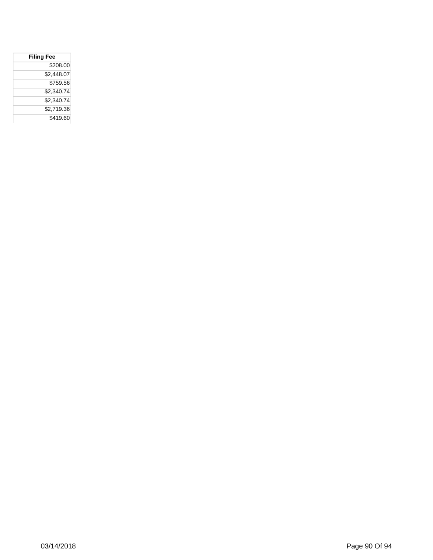| <b>Filing Fee</b> |
|-------------------|
| \$208.00          |
| \$2.448.07        |
| \$759.56          |
| \$2.340.74        |
| \$2,340.74        |
| \$2.719.36        |
| \$419.60          |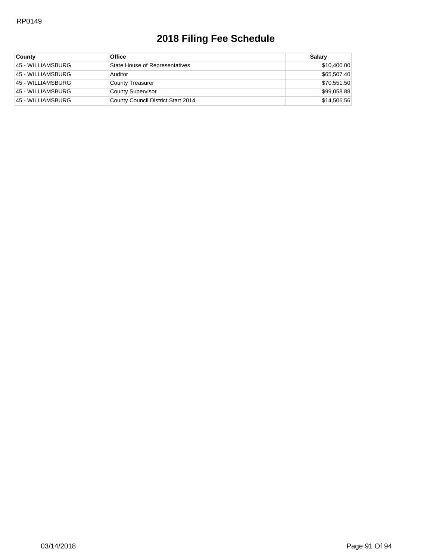| <b>County</b>      | <b>Office</b>                      | Salary      |
|--------------------|------------------------------------|-------------|
| 45 - WILLIAMSBURG  | State House of Representatives     | \$10,400.00 |
| 45 - WILLIAMSBURG  | Auditor                            | \$65,507.40 |
| 45 - WILLIAMSBURG  | County Treasurer                   | \$70,551.50 |
| 45 - WILLIAMSBURG  | <b>County Supervisor</b>           | \$99,058.88 |
| 145 - WILLIAMSBURG | County Council District Start 2014 | \$14,506.56 |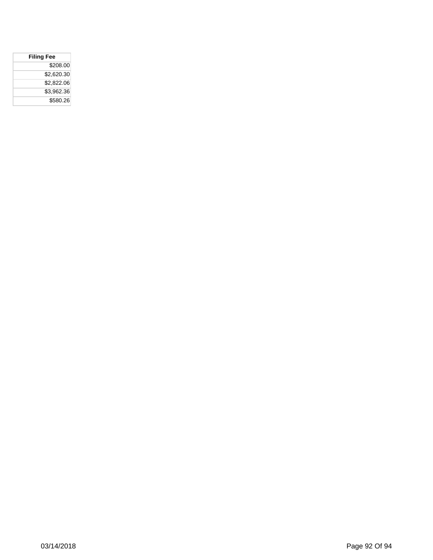| <b>Filing Fee</b> |            |
|-------------------|------------|
|                   | \$208.00   |
|                   | \$2,620.30 |
|                   | \$2,822.06 |
|                   | \$3,962.36 |
|                   | \$580.26   |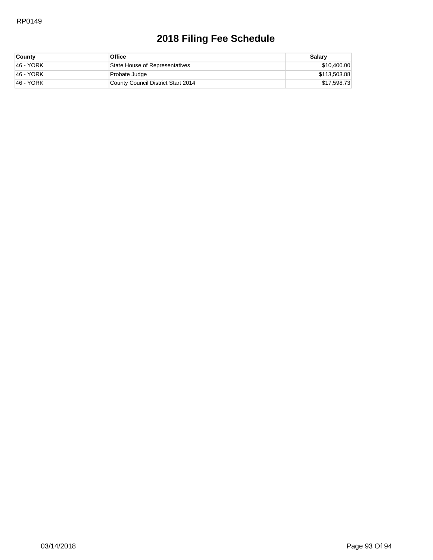| <b>County</b> | <b>Office</b>                      | Salary       |
|---------------|------------------------------------|--------------|
| 146 - YORK    | State House of Representatives     | \$10,400.00  |
| 146 - YORK    | Probate Judge                      | \$113,503.88 |
| 46 - YORK     | County Council District Start 2014 | \$17,598.73  |